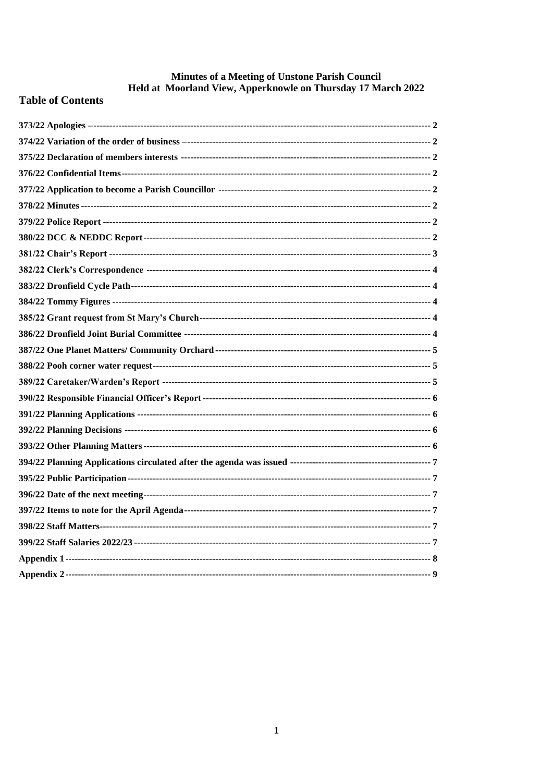# Minutes of a Meeting of Unstone Parish Council<br>Held at Moorland View, Apperknowle on Thursday 17 March 2022

# **Table of Contents**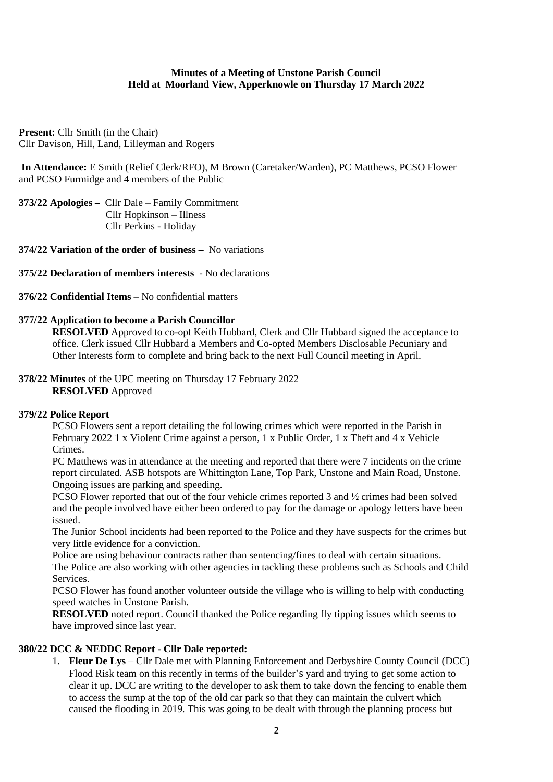## **Minutes of a Meeting of Unstone Parish Council Held at Moorland View, Apperknowle on Thursday 17 March 2022**

**Present:** Cllr Smith (in the Chair) Cllr Davison, Hill, Land, Lilleyman and Rogers

**In Attendance:** E Smith (Relief Clerk/RFO), M Brown (Caretaker/Warden), PC Matthews, PCSO Flower and PCSO Furmidge and 4 members of the Public

<span id="page-1-0"></span>**373/22 Apologies –** Cllr Dale – Family Commitment Cllr Hopkinson – Illness Cllr Perkins - Holiday

<span id="page-1-1"></span>**374/22 Variation of the order of business –** No variations

<span id="page-1-2"></span>**375/22 Declaration of members interests** - No declarations

<span id="page-1-3"></span>**376/22 Confidential Items** – No confidential matters

#### <span id="page-1-4"></span>**377/22 Application to become a Parish Councillor**

**RESOLVED** Approved to co-opt Keith Hubbard, Clerk and Cllr Hubbard signed the acceptance to office. Clerk issued Cllr Hubbard a Members and Co-opted Members Disclosable Pecuniary and Other Interests form to complete and bring back to the next Full Council meeting in April.

<span id="page-1-5"></span>**378/22 Minutes** of the UPC meeting on Thursday 17 February 2022 **RESOLVED** Approved

#### <span id="page-1-6"></span>**379/22 Police Report**

PCSO Flowers sent a report detailing the following crimes which were reported in the Parish in February 2022 1 x Violent Crime against a person, 1 x Public Order, 1 x Theft and 4 x Vehicle Crimes.

PC Matthews was in attendance at the meeting and reported that there were 7 incidents on the crime report circulated. ASB hotspots are Whittington Lane, Top Park, Unstone and Main Road, Unstone. Ongoing issues are parking and speeding.

PCSO Flower reported that out of the four vehicle crimes reported 3 and ½ crimes had been solved and the people involved have either been ordered to pay for the damage or apology letters have been issued.

The Junior School incidents had been reported to the Police and they have suspects for the crimes but very little evidence for a conviction.

Police are using behaviour contracts rather than sentencing/fines to deal with certain situations. The Police are also working with other agencies in tackling these problems such as Schools and Child Services.

PCSO Flower has found another volunteer outside the village who is willing to help with conducting speed watches in Unstone Parish.

**RESOLVED** noted report. Council thanked the Police regarding fly tipping issues which seems to have improved since last year.

## <span id="page-1-7"></span>**380/22 DCC & NEDDC Report - Cllr Dale reported:**

1. **Fleur De Lys** – Cllr Dale met with Planning Enforcement and Derbyshire County Council (DCC) Flood Risk team on this recently in terms of the builder's yard and trying to get some action to clear it up. DCC are writing to the developer to ask them to take down the fencing to enable them to access the sump at the top of the old car park so that they can maintain the culvert which caused the flooding in 2019. This was going to be dealt with through the planning process but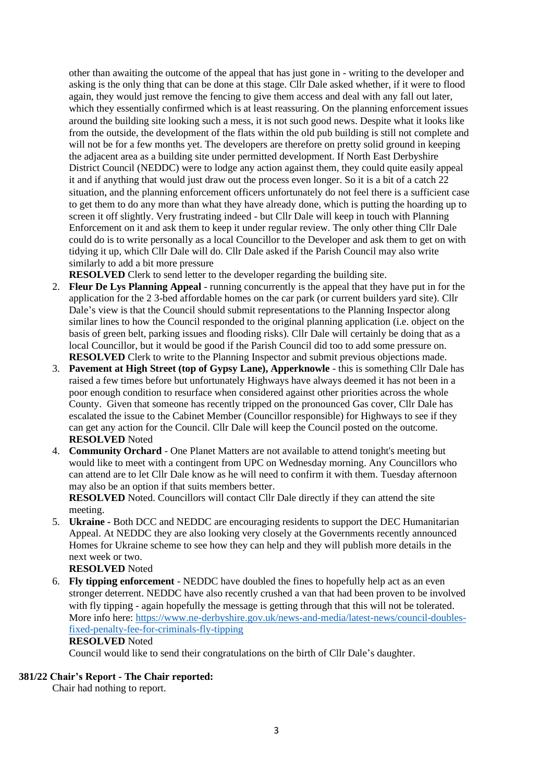other than awaiting the outcome of the appeal that has just gone in - writing to the developer and asking is the only thing that can be done at this stage. Cllr Dale asked whether, if it were to flood again, they would just remove the fencing to give them access and deal with any fall out later, which they essentially confirmed which is at least reassuring. On the planning enforcement issues around the building site looking such a mess, it is not such good news. Despite what it looks like from the outside, the development of the flats within the old pub building is still not complete and will not be for a few months yet. The developers are therefore on pretty solid ground in keeping the adjacent area as a building site under permitted development. If North East Derbyshire District Council (NEDDC) were to lodge any action against them, they could quite easily appeal it and if anything that would just draw out the process even longer. So it is a bit of a catch 22 situation, and the planning enforcement officers unfortunately do not feel there is a sufficient case to get them to do any more than what they have already done, which is putting the hoarding up to screen it off slightly. Very frustrating indeed - but Cllr Dale will keep in touch with Planning Enforcement on it and ask them to keep it under regular review. The only other thing Cllr Dale could do is to write personally as a local Councillor to the Developer and ask them to get on with tidying it up, which Cllr Dale will do. Cllr Dale asked if the Parish Council may also write similarly to add a bit more pressure

**RESOLVED** Clerk to send letter to the developer regarding the building site.

- 2. **Fleur De Lys Planning Appeal** running concurrently is the appeal that they have put in for the application for the 2 3-bed affordable homes on the car park (or current builders yard site). Cllr Dale's view is that the Council should submit representations to the Planning Inspector along similar lines to how the Council responded to the original planning application (i.e. object on the basis of green belt, parking issues and flooding risks). Cllr Dale will certainly be doing that as a local Councillor, but it would be good if the Parish Council did too to add some pressure on. **RESOLVED** Clerk to write to the Planning Inspector and submit previous objections made.
- 3. **Pavement at High Street (top of Gypsy Lane), Apperknowle**  this is something Cllr Dale has raised a few times before but unfortunately Highways have always deemed it has not been in a poor enough condition to resurface when considered against other priorities across the whole County. Given that someone has recently tripped on the pronounced Gas cover, Cllr Dale has escalated the issue to the Cabinet Member (Councillor responsible) for Highways to see if they can get any action for the Council. Cllr Dale will keep the Council posted on the outcome. **RESOLVED** Noted
- 4. **Community Orchard** One Planet Matters are not available to attend tonight's meeting but would like to meet with a contingent from UPC on Wednesday morning. Any Councillors who can attend are to let Cllr Dale know as he will need to confirm it with them. Tuesday afternoon may also be an option if that suits members better.

**RESOLVED** Noted. Councillors will contact Cllr Dale directly if they can attend the site meeting.

5. **Ukraine -** Both DCC and NEDDC are encouraging residents to support the DEC Humanitarian Appeal. At NEDDC they are also looking very closely at the Governments recently announced Homes for Ukraine scheme to see how they can help and they will publish more details in the next week or two.

**RESOLVED** Noted

6. **Fly tipping enforcement** - NEDDC have doubled the fines to hopefully help act as an even stronger deterrent. NEDDC have also recently crushed a van that had been proven to be involved with fly tipping - again hopefully the message is getting through that this will not be tolerated. More info here: [https://www.ne-derbyshire.gov.uk/news-and-media/latest-news/council-doubles](https://www.ne-derbyshire.gov.uk/news-and-media/latest-news/council-doubles-fixed-penalty-fee-for-criminals-fly-tipping)[fixed-penalty-fee-for-criminals-fly-tipping](https://www.ne-derbyshire.gov.uk/news-and-media/latest-news/council-doubles-fixed-penalty-fee-for-criminals-fly-tipping) **RESOLVED** Noted

Council would like to send their congratulations on the birth of Cllr Dale's daughter.

## <span id="page-2-0"></span>**381/22 Chair's Report - The Chair reported:**

Chair had nothing to report.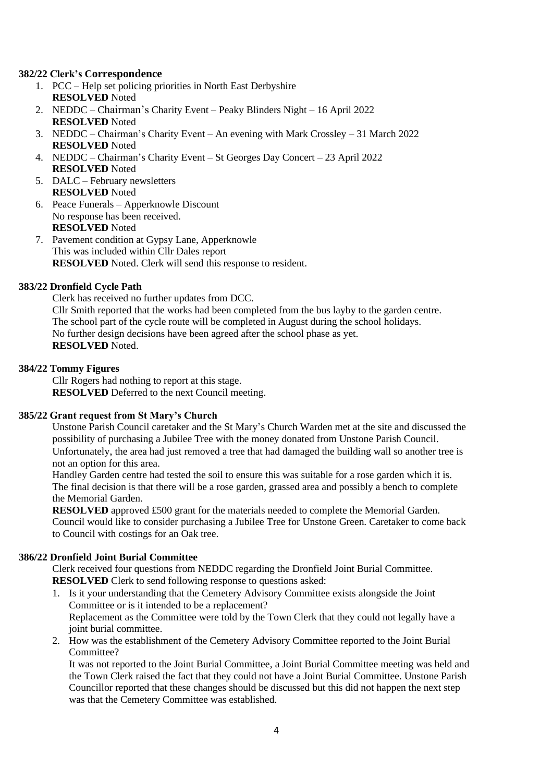## <span id="page-3-0"></span>**382/22 Clerk's Correspondence**

- 1. PCC Help set policing priorities in North East Derbyshire **RESOLVED** Noted
- 2. NEDDC Chairman's Charity Event Peaky Blinders Night 16 April 2022 **RESOLVED** Noted
- 3. NEDDC Chairman's Charity Event An evening with Mark Crossley 31 March 2022 **RESOLVED** Noted
- 4. NEDDC Chairman's Charity Event St Georges Day Concert 23 April 2022 **RESOLVED** Noted
- 5. DALC February newsletters **RESOLVED** Noted
- 6. Peace Funerals Apperknowle Discount No response has been received. **RESOLVED** Noted
- 7. Pavement condition at Gypsy Lane, Apperknowle This was included within Cllr Dales report **RESOLVED** Noted. Clerk will send this response to resident.

## <span id="page-3-1"></span>**383/22 Dronfield Cycle Path**

Clerk has received no further updates from DCC. Cllr Smith reported that the works had been completed from the bus layby to the garden centre. The school part of the cycle route will be completed in August during the school holidays. No further design decisions have been agreed after the school phase as yet. **RESOLVED** Noted.

## <span id="page-3-2"></span>**384/22 Tommy Figures**

Cllr Rogers had nothing to report at this stage. **RESOLVED** Deferred to the next Council meeting.

## <span id="page-3-3"></span>**385/22 Grant request from St Mary's Church**

Unstone Parish Council caretaker and the St Mary's Church Warden met at the site and discussed the possibility of purchasing a Jubilee Tree with the money donated from Unstone Parish Council. Unfortunately, the area had just removed a tree that had damaged the building wall so another tree is not an option for this area.

Handley Garden centre had tested the soil to ensure this was suitable for a rose garden which it is. The final decision is that there will be a rose garden, grassed area and possibly a bench to complete the Memorial Garden.

**RESOLVED** approved £500 grant for the materials needed to complete the Memorial Garden. Council would like to consider purchasing a Jubilee Tree for Unstone Green. Caretaker to come back to Council with costings for an Oak tree.

## <span id="page-3-4"></span>**386/22 Dronfield Joint Burial Committee**

Clerk received four questions from NEDDC regarding the Dronfield Joint Burial Committee. **RESOLVED** Clerk to send following response to questions asked:

- 1. Is it your understanding that the Cemetery Advisory Committee exists alongside the Joint Committee or is it intended to be a replacement? Replacement as the Committee were told by the Town Clerk that they could not legally have a joint burial committee.
- 2. How was the establishment of the Cemetery Advisory Committee reported to the Joint Burial Committee?

It was not reported to the Joint Burial Committee, a Joint Burial Committee meeting was held and the Town Clerk raised the fact that they could not have a Joint Burial Committee. Unstone Parish Councillor reported that these changes should be discussed but this did not happen the next step was that the Cemetery Committee was established.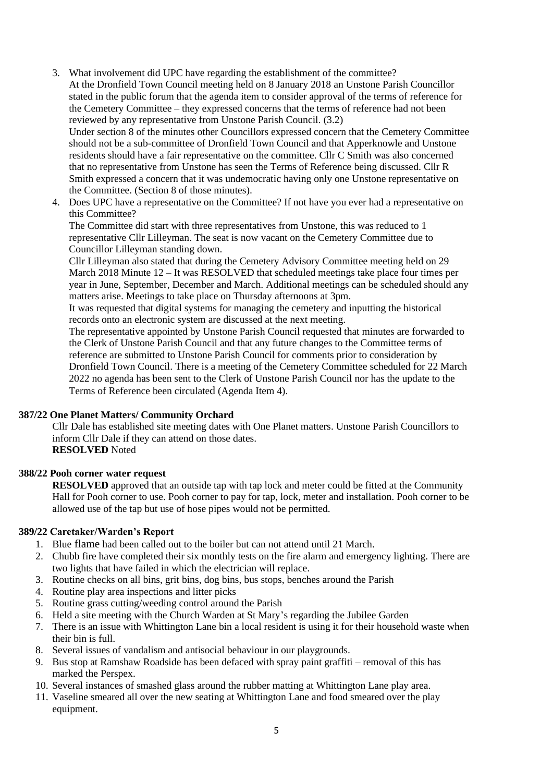3. What involvement did UPC have regarding the establishment of the committee? At the Dronfield Town Council meeting held on 8 January 2018 an Unstone Parish Councillor stated in the public forum that the agenda item to consider approval of the terms of reference for the Cemetery Committee – they expressed concerns that the terms of reference had not been reviewed by any representative from Unstone Parish Council. (3.2)

Under section 8 of the minutes other Councillors expressed concern that the Cemetery Committee should not be a sub-committee of Dronfield Town Council and that Apperknowle and Unstone residents should have a fair representative on the committee. Cllr C Smith was also concerned that no representative from Unstone has seen the Terms of Reference being discussed. Cllr R Smith expressed a concern that it was undemocratic having only one Unstone representative on the Committee. (Section 8 of those minutes).

4. Does UPC have a representative on the Committee? If not have you ever had a representative on this Committee?

The Committee did start with three representatives from Unstone, this was reduced to 1 representative Cllr Lilleyman. The seat is now vacant on the Cemetery Committee due to Councillor Lilleyman standing down.

Cllr Lilleyman also stated that during the Cemetery Advisory Committee meeting held on 29 March 2018 Minute 12 – It was RESOLVED that scheduled meetings take place four times per year in June, September, December and March. Additional meetings can be scheduled should any matters arise. Meetings to take place on Thursday afternoons at 3pm.

It was requested that digital systems for managing the cemetery and inputting the historical records onto an electronic system are discussed at the next meeting.

The representative appointed by Unstone Parish Council requested that minutes are forwarded to the Clerk of Unstone Parish Council and that any future changes to the Committee terms of reference are submitted to Unstone Parish Council for comments prior to consideration by Dronfield Town Council. There is a meeting of the Cemetery Committee scheduled for 22 March 2022 no agenda has been sent to the Clerk of Unstone Parish Council nor has the update to the Terms of Reference been circulated (Agenda Item 4).

## <span id="page-4-0"></span>**387/22 One Planet Matters/ Community Orchard**

Cllr Dale has established site meeting dates with One Planet matters. Unstone Parish Councillors to inform Cllr Dale if they can attend on those dates. **RESOLVED** Noted

## <span id="page-4-1"></span>**388/22 Pooh corner water request**

**RESOLVED** approved that an outside tap with tap lock and meter could be fitted at the Community Hall for Pooh corner to use. Pooh corner to pay for tap, lock, meter and installation. Pooh corner to be allowed use of the tap but use of hose pipes would not be permitted.

## <span id="page-4-2"></span>**389/22 Caretaker/Warden's Report**

- 1. Blue flame had been called out to the boiler but can not attend until 21 March.
- 2. Chubb fire have completed their six monthly tests on the fire alarm and emergency lighting. There are two lights that have failed in which the electrician will replace.
- 3. Routine checks on all bins, grit bins, dog bins, bus stops, benches around the Parish
- 4. Routine play area inspections and litter picks
- 5. Routine grass cutting/weeding control around the Parish
- 6. Held a site meeting with the Church Warden at St Mary's regarding the Jubilee Garden
- 7. There is an issue with Whittington Lane bin a local resident is using it for their household waste when their bin is full.
- 8. Several issues of vandalism and antisocial behaviour in our playgrounds.
- 9. Bus stop at Ramshaw Roadside has been defaced with spray paint graffiti removal of this has marked the Perspex.
- 10. Several instances of smashed glass around the rubber matting at Whittington Lane play area.
- 11. Vaseline smeared all over the new seating at Whittington Lane and food smeared over the play equipment.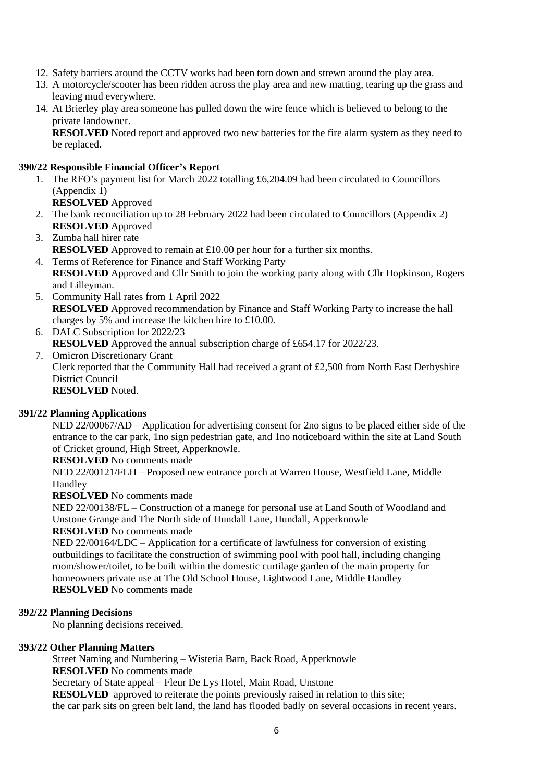- 12. Safety barriers around the CCTV works had been torn down and strewn around the play area.
- 13. A motorcycle/scooter has been ridden across the play area and new matting, tearing up the grass and leaving mud everywhere.
- 14. At Brierley play area someone has pulled down the wire fence which is believed to belong to the private landowner.

**RESOLVED** Noted report and approved two new batteries for the fire alarm system as they need to be replaced.

## <span id="page-5-0"></span>**390/22 Responsible Financial Officer's Report**

1. The RFO's payment list for March 2022 totalling £6,204.09 had been circulated to Councillors (Appendix 1)

**RESOLVED** Approved

- 2. The bank reconciliation up to 28 February 2022 had been circulated to Councillors (Appendix 2) **RESOLVED** Approved
- 3. Zumba hall hirer rate **RESOLVED** Approved to remain at £10.00 per hour for a further six months.
- 4. Terms of Reference for Finance and Staff Working Party **RESOLVED** Approved and Cllr Smith to join the working party along with Cllr Hopkinson, Rogers and Lilleyman.
- 5. Community Hall rates from 1 April 2022 **RESOLVED** Approved recommendation by Finance and Staff Working Party to increase the hall charges by 5% and increase the kitchen hire to £10.00.
- 6. DALC Subscription for 2022/23 **RESOLVED** Approved the annual subscription charge of £654.17 for 2022/23. 7. Omicron Discretionary Grant
	- Clerk reported that the Community Hall had received a grant of £2,500 from North East Derbyshire District Council **RESOLVED** Noted.

## <span id="page-5-1"></span>**391/22 Planning Applications**

NED 22/00067/AD – Application for advertising consent for 2no signs to be placed either side of the entrance to the car park, 1no sign pedestrian gate, and 1no noticeboard within the site at Land South of Cricket ground, High Street, Apperknowle.

**RESOLVED** No comments made

NED 22/00121/FLH – Proposed new entrance porch at Warren House, Westfield Lane, Middle Handley

**RESOLVED** No comments made

NED 22/00138/FL – Construction of a manege for personal use at Land South of Woodland and Unstone Grange and The North side of Hundall Lane, Hundall, Apperknowle

## **RESOLVED** No comments made

NED 22/00164/LDC – Application for a certificate of lawfulness for conversion of existing outbuildings to facilitate the construction of swimming pool with pool hall, including changing room/shower/toilet, to be built within the domestic curtilage garden of the main property for homeowners private use at The Old School House, Lightwood Lane, Middle Handley **RESOLVED** No comments made

## <span id="page-5-2"></span>**392/22 Planning Decisions**

No planning decisions received.

## <span id="page-5-3"></span>**393/22 Other Planning Matters**

Street Naming and Numbering – Wisteria Barn, Back Road, Apperknowle

**RESOLVED** No comments made

Secretary of State appeal – Fleur De Lys Hotel, Main Road, Unstone

**RESOLVED** approved to reiterate the points previously raised in relation to this site;

the car park sits on green belt land, the land has flooded badly on several occasions in recent years.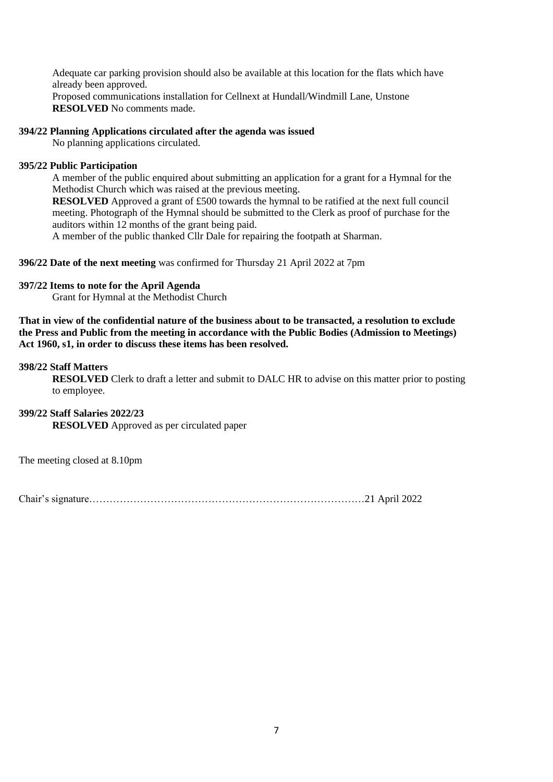Adequate car parking provision should also be available at this location for the flats which have already been approved.

Proposed communications installation for Cellnext at Hundall/Windmill Lane, Unstone **RESOLVED** No comments made.

#### <span id="page-6-0"></span>**394/22 Planning Applications circulated after the agenda was issued**

No planning applications circulated.

#### <span id="page-6-1"></span>**395/22 Public Participation**

A member of the public enquired about submitting an application for a grant for a Hymnal for the Methodist Church which was raised at the previous meeting.

**RESOLVED** Approved a grant of £500 towards the hymnal to be ratified at the next full council meeting. Photograph of the Hymnal should be submitted to the Clerk as proof of purchase for the auditors within 12 months of the grant being paid.

A member of the public thanked Cllr Dale for repairing the footpath at Sharman.

<span id="page-6-2"></span>**396/22 Date of the next meeting** was confirmed for Thursday 21 April 2022 at 7pm

#### <span id="page-6-3"></span>**397/22 Items to note for the April Agenda**

Grant for Hymnal at the Methodist Church

**That in view of the confidential nature of the business about to be transacted, a resolution to exclude the Press and Public from the meeting in accordance with the Public Bodies (Admission to Meetings) Act 1960, s1, in order to discuss these items has been resolved.**

#### <span id="page-6-4"></span>**398/22 Staff Matters**

**RESOLVED** Clerk to draft a letter and submit to DALC HR to advise on this matter prior to posting to employee.

<span id="page-6-5"></span>**399/22 Staff Salaries 2022/23 RESOLVED** Approved as per circulated paper

The meeting closed at 8.10pm

Chair's signature………………………………………………………………………21 April 2022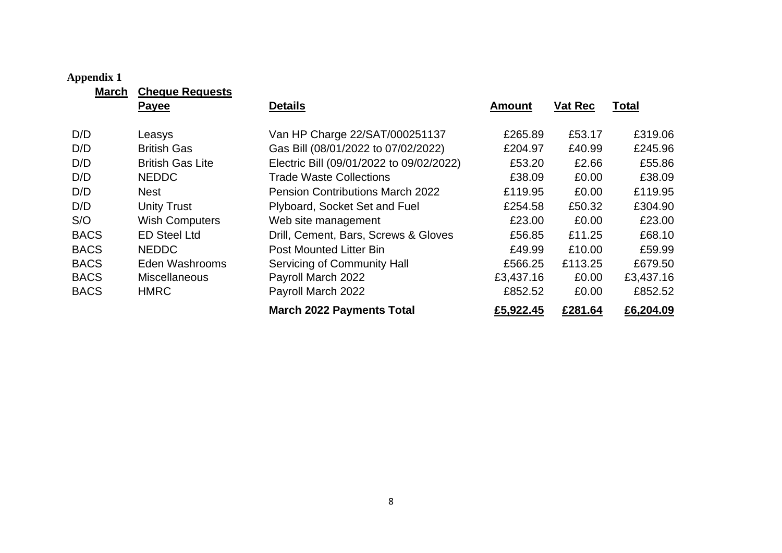## **Appendix 1**

**March Cheque Requests**

<span id="page-7-0"></span>

|             | <u>1100 MO MO MOORE</u><br><b>Payee</b> | <b>Details</b>                           | Amount    | Vat Rec | <b>Total</b> |
|-------------|-----------------------------------------|------------------------------------------|-----------|---------|--------------|
| D/D         | Leasys                                  | Van HP Charge 22/SAT/000251137           | £265.89   | £53.17  | £319.06      |
| D/D         | <b>British Gas</b>                      | Gas Bill (08/01/2022 to 07/02/2022)      | £204.97   | £40.99  | £245.96      |
| D/D         | <b>British Gas Lite</b>                 | Electric Bill (09/01/2022 to 09/02/2022) | £53.20    | £2.66   | £55.86       |
| D/D         | <b>NEDDC</b>                            | <b>Trade Waste Collections</b>           | £38.09    | £0.00   | £38.09       |
| D/D         | Nest                                    | <b>Pension Contributions March 2022</b>  | £119.95   | £0.00   | £119.95      |
| D/D         | <b>Unity Trust</b>                      | Plyboard, Socket Set and Fuel            | £254.58   | £50.32  | £304.90      |
| S/O         | <b>Wish Computers</b>                   | Web site management                      | £23.00    | £0.00   | £23.00       |
| <b>BACS</b> | <b>ED Steel Ltd</b>                     | Drill, Cement, Bars, Screws & Gloves     | £56.85    | £11.25  | £68.10       |
| <b>BACS</b> | <b>NEDDC</b>                            | <b>Post Mounted Litter Bin</b>           | £49.99    | £10.00  | £59.99       |
| <b>BACS</b> | Eden Washrooms                          | Servicing of Community Hall              | £566.25   | £113.25 | £679.50      |
| <b>BACS</b> | <b>Miscellaneous</b>                    | Payroll March 2022                       | £3,437.16 | £0.00   | £3,437.16    |
| <b>BACS</b> | <b>HMRC</b>                             | Payroll March 2022                       | £852.52   | £0.00   | £852.52      |
|             |                                         | <b>March 2022 Payments Total</b>         | £5,922.45 | £281.64 | £6,204.09    |